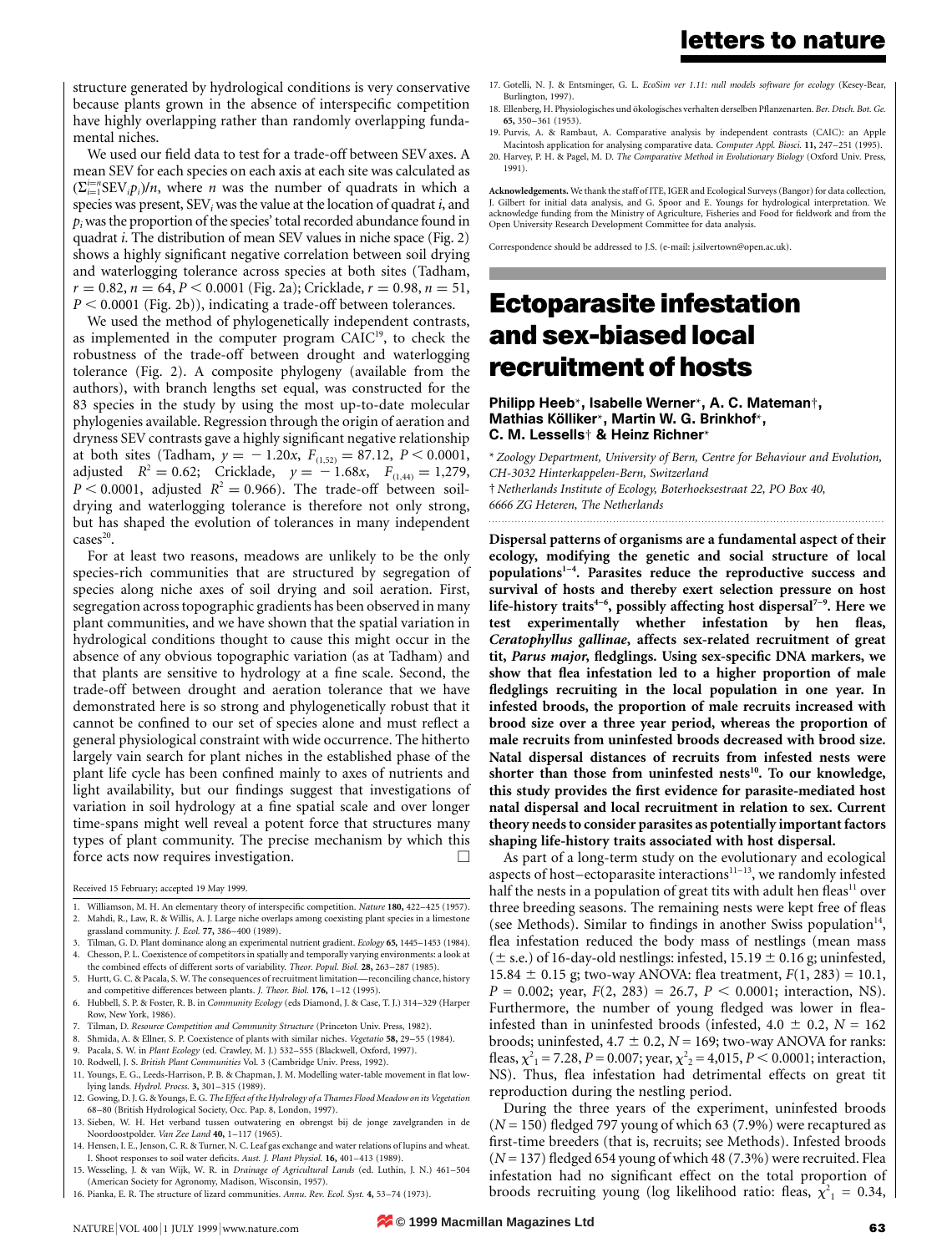structure generated by hydrological conditions is very conservative because plants grown in the absence of interspecific competition have highly overlapping rather than randomly overlapping fundamental niches.

We used our field data to test for a trade-off between SEV axes. A mean SEV for each species on each axis at each site was calculated as  $(\sum_{i=1}^{i=n} \text{SEV}_{i} p_{i})/n$ , where *n* was the number of quadrats in which a species was present,  $SEV_i$  was the value at the location of quadrat i, and  $p_i$  was the proportion of the species' total recorded abundance found in quadrat i. The distribution of mean SEV values in niche space (Fig. 2) shows a highly significant negative correlation between soil drying and waterlogging tolerance across species at both sites (Tadham,  $r = 0.82$ ,  $n = 64$ ,  $P < 0.0001$  (Fig. 2a); Cricklade,  $r = 0.98$ ,  $n = 51$ ,  $P < 0.0001$  (Fig. 2b)), indicating a trade-off between tolerances.

We used the method of phylogenetically independent contrasts, as implemented in the computer program CAIC<sup>19</sup>, to check the robustness of the trade-off between drought and waterlogging tolerance (Fig. 2). A composite phylogeny (available from the authors), with branch lengths set equal, was constructed for the 83 species in the study by using the most up-to-date molecular phylogenies available. Regression through the origin of aeration and dryness SEV contrasts gave a highly significant negative relationship at both sites (Tadham,  $y = -1.20x$ ,  $F_{(1,52)} = 87.12$ ,  $P \le 0.0001$ , adjusted  $R^2 = 0.62$ ; Cricklade,  $y = -1.68x$ ,  $F_{(1,44)} = 1,279$ ,  $P < 0.0001$ , adjusted  $R^2 = 0.966$ ). The trade-off between soildrying and waterlogging tolerance is therefore not only strong, but has shaped the evolution of tolerances in many independent  $cases<sup>20</sup>$ .

For at least two reasons, meadows are unlikely to be the only species-rich communities that are structured by segregation of species along niche axes of soil drying and soil aeration. First, segregation across topographic gradients has been observed in many plant communities, and we have shown that the spatial variation in hydrological conditions thought to cause this might occur in the absence of any obvious topographic variation (as at Tadham) and that plants are sensitive to hydrology at a fine scale. Second, the trade-off between drought and aeration tolerance that we have demonstrated here is so strong and phylogenetically robust that it cannot be confined to our set of species alone and must reflect a general physiological constraint with wide occurrence. The hitherto largely vain search for plant niches in the established phase of the plant life cycle has been confined mainly to axes of nutrients and light availability, but our findings suggest that investigations of variation in soil hydrology at a fine spatial scale and over longer time-spans might well reveal a potent force that structures many types of plant community. The precise mechanism by which this force acts now requires investigation.

Received 15 February; accepted 19 May 1999.

- 1. Williamson, M. H. An elementary theory of interspecific competition. Nature 180, 422-425 (1957). 2. Mahdi, R., Law, R. & Willis, A. J. Large niche overlaps among coexisting plant species in a limestone grassland community. J. Ecol. 77, 386-400 (1989).
- 3. Tilman, G. D. Plant dominance along an experimental nutrient gradient. Ecology 65, 1445-1453 (1984). 4. Chesson, P. L. Coexistence of competitors in spatially and temporally varying environments: a look at
- the combined effects of different sorts of variability. Theor. Popul. Biol. 28, 263-287 (1985). 5. Hurtt, G. C. & Pacala, S. W. The consequences of recruitment limitation—reconciling chance, history
- and competitive differences between plants. *J. Theor. Biol.* 176,  $1-12$  (1995).
- 6. Hubbell, S. P. & Foster, R. B. in Community Ecology (eds Diamond, J. & Case, T. J.) 314-329 (Harper Row, New York, 1986).
- Tilman, D. Resource Competition and Community Structure (Princeton Univ. Press, 1982).
- 8. Shmida, A. & Ellner, S. P. Coexistence of plants with similar niches. Vegetatio 58, 29-55 (1984).
- 9. Pacala, S. W. in Plant Ecology (ed. Crawley, M. J.) 532-555 (Blackwell, Oxford, 1997).
- 10. Rodwell, J. S. British Plant Communities Vol. 3 (Cambridge Univ. Press, 1992).
- 11. Youngs, E. G., Leeds-Harrison, P. B. & Chapman, J. M. Modelling water-table movement in flat lowlying lands. Hydrol. Procss. 3, 301-315 (1989).
- 12. Gowing, D. J. G. & Youngs, E. G. The Effect of the Hydrology of a Thames Flood Meadow on its Vegetation 68±80 (British Hydrological Society, Occ. Pap. 8, London, 1997).
- 13. Sieben, W. H. Het verband tussen outwatering en obrengst bij de jonge zavelgranden in de Noordoostpolder. Van Zee Land 40, 1-117 (1965).
- 14. Hensen, I. E., Jenson, C. R. & Turner, N. C. Leaf gas exchange and water relations of lupins and wheat. I. Shoot responses to soil water deficits. Aust. J. Plant Physiol. 16, 401–413 (1989). 15. Wesseling, J. & van Wijk, W. R. in Drainage of Agricultural Lands (ed. Luthin, J. N.) 461-504
- (American Society for Agronomy, Madison, Wisconsin, 1957).
- 16. Pianka, E. R. The structure of lizard communities. Annu. Rev. Ecol. Syst. 4, 53-74 (1973).
- 17. Gotelli, N. J. & Entsminger, G. L. EcoSim ver 1.11: null models software for ecology (Kesey-Bear, Burlington, 1997).
- 18. Ellenberg, H. Physiologisches und ökologisches verhalten derselben Pflanzenarten. Ber. Dtsch. Bot. Ge. 65, 350±361 (1953).
- 19. Purvis, A. & Rambaut, A. Comparative analysis by independent contrasts (CAIC): an Apple Macintosh application for analysing comparative data. Computer Appl. Biosci. 11, 247-251 (1995).
- 20. Harvey, P. H. & Pagel, M. D. The Comparative Method in Evolutionary Biology (Oxford Univ. Press, 1991).

Acknowledgements. We thank the staff of ITE, IGER and Ecological Surveys (Bangor) for data collection, J. Gilbert for initial data analysis, and G. Spoor and E. Youngs for hydrological interpretation. We acknowledge funding from the Ministry of Agriculture, Fisheries and Food for fieldwork and from the Open University Research Development Committee for data analysis.

Correspondence should be addressed to J.S. (e-mail: j.silvertown@open.ac.uk).

# Ectoparasite infestation and sex-biased local recruitment of hosts

### Philipp Heeb\*, Isabelle Werner\*, A. C. Mateman², Mathias Kölliker\*, Martin W. G. Brinkhof\*, C. M. Lessells² & Heinz Richner\*

\* Zoology Department, University of Bern, Centre for Behaviour and Evolution, CH-3032 Hinterkappelen-Bern, Switzerland ² Netherlands Institute of Ecology, Boterhoeksestraat 22, PO Box 40, 6666 ZG Heteren, The Netherlands

.........................................................................................................................

Dispersal patterns of organisms are a fundamental aspect of their ecology, modifying the genetic and social structure of local populations<sup>1-4</sup>. Parasites reduce the reproductive success and survival of hosts and thereby exert selection pressure on host life-history traits<sup>4-6</sup>, possibly affecting host dispersal<sup>7-9</sup>. Here we test experimentally whether infestation by hen fleas, Ceratophyllus gallinae, affects sex-related recruitment of great tit, Parus major, fledglings. Using sex-specific DNA markers, we show that flea infestation led to a higher proportion of male fledglings recruiting in the local population in one year. In infested broods, the proportion of male recruits increased with brood size over a three year period, whereas the proportion of male recruits from uninfested broods decreased with brood size. Natal dispersal distances of recruits from infested nests were shorter than those from uninfested nests<sup>10</sup>. To our knowledge, this study provides the first evidence for parasite-mediated host natal dispersal and local recruitment in relation to sex. Current theory needs to consider parasites as potentially important factors shaping life-history traits associated with host dispersal.

As part of a long-term study on the evolutionary and ecological aspects of host-ectoparasite interactions<sup>11-13</sup>, we randomly infested half the nests in a population of great tits with adult hen fleas<sup>11</sup> over three breeding seasons. The remaining nests were kept free of fleas (see Methods). Similar to findings in another Swiss population<sup>14</sup>, flea infestation reduced the body mass of nestlings (mean mass ( $\pm$  s.e.) of 16-day-old nestlings: infested, 15.19  $\pm$  0.16 g; uninfested, 15.84  $\pm$  0.15 g; two-way ANOVA: flea treatment,  $F(1, 283) = 10.1$ ,  $P = 0.002$ ; year,  $F(2, 283) = 26.7$ ,  $P < 0.0001$ ; interaction, NS). Furthermore, the number of young fledged was lower in fleainfested than in uninfested broods (infested,  $4.0 \pm 0.2$ ,  $N = 162$ broods; uninfested,  $4.7 \pm 0.2$ ,  $N = 169$ ; two-way ANOVA for ranks: fleas,  $\chi^2$ <sub>1</sub> = 7.28, *P* = 0.007; year,  $\chi^2$ <sub>2</sub> = 4,015, *P* < 0.0001; interaction, NS). Thus, flea infestation had detrimental effects on great tit reproduction during the nestling period.

During the three years of the experiment, uninfested broods  $(N = 150)$  fledged 797 young of which 63 (7.9%) were recaptured as first-time breeders (that is, recruits; see Methods). Infested broods  $(N = 137)$  fledged 654 young of which 48 (7.3%) were recruited. Flea infestation had no significant effect on the total proportion of broods recruiting young (log likelihood ratio: fleas,  $\chi^2_{1} = 0.34$ ,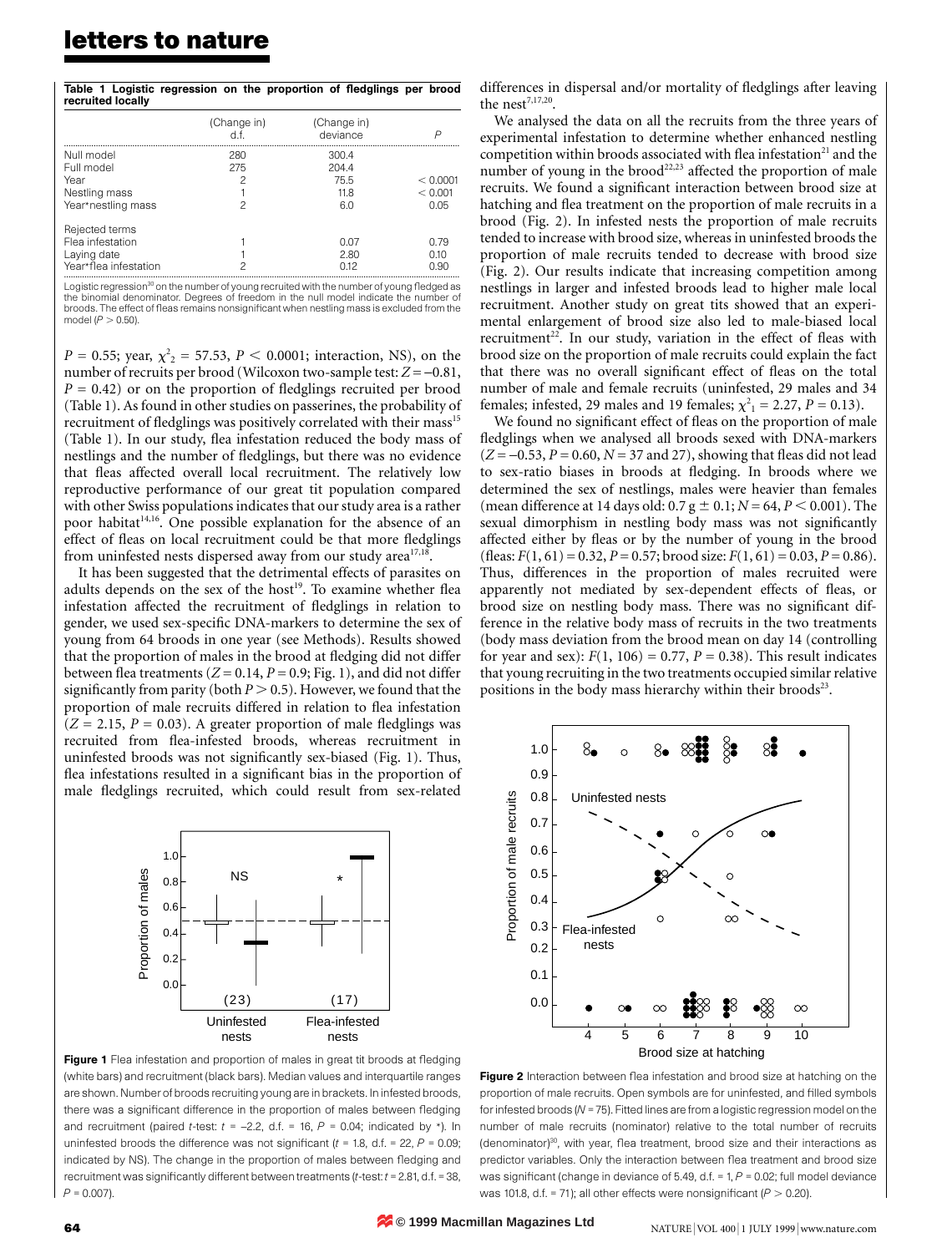## letters to nature

|                   |  |  | Table 1 Logistic regression on the proportion of fledglings per brood |  |  |
|-------------------|--|--|-----------------------------------------------------------------------|--|--|
| recruited locally |  |  |                                                                       |  |  |

|                                                                            | (Change in)<br>d f   | (Change in)<br>deviance               | P                           |
|----------------------------------------------------------------------------|----------------------|---------------------------------------|-----------------------------|
| Null model<br>Full model<br>Year<br>Nestling mass<br>Year*nestling mass    | 280<br>275<br>2<br>2 | 300.4<br>204.4<br>75.5<br>11.8<br>6.0 | < 0.0001<br>< 0.001<br>0.05 |
| Rejected terms<br>Flea infestation<br>Laying date<br>Year*flea infestation | 2                    | 0.07<br>2.80<br>0.12                  | O 79<br>0.10<br>0.90        |

Logistic regression<sup>30</sup> on the number of young recruited with the number of young fledged as<br>the binomial denominator. Degrees of freedom in the null model indicate the number of broods. The effect of fleas remains nonsignificant when nestling mass is excluded from the model ( $P > 0.50$ ).

 $P = 0.55$ ; year,  $\chi^2_{2} = 57.53$ ,  $P < 0.0001$ ; interaction, NS), on the number of recruits per brood (Wilcoxon two-sample test:  $Z = -0.81$ ,  $P = 0.42$ ) or on the proportion of fledglings recruited per brood (Table 1). As found in other studies on passerines, the probability of recruitment of fledglings was positively correlated with their mass<sup>15</sup> (Table 1). In our study, flea infestation reduced the body mass of nestlings and the number of fledglings, but there was no evidence that fleas affected overall local recruitment. The relatively low reproductive performance of our great tit population compared with other Swiss populations indicates that our study area is a rather poor habitat<sup>14,16</sup>. One possible explanation for the absence of an effect of fleas on local recruitment could be that more fledglings from uninfested nests dispersed away from our study area<sup>17,18</sup>.

It has been suggested that the detrimental effects of parasites on adults depends on the sex of the host<sup>19</sup>. To examine whether flea infestation affected the recruitment of fledglings in relation to gender, we used sex-specific DNA-markers to determine the sex of young from 64 broods in one year (see Methods). Results showed that the proportion of males in the brood at fledging did not differ between flea treatments ( $Z = 0.14$ ,  $P = 0.9$ ; Fig. 1), and did not differ significantly from parity (both  $P > 0.5$ ). However, we found that the proportion of male recruits differed in relation to flea infestation  $(Z = 2.15, P = 0.03)$ . A greater proportion of male fledglings was recruited from flea-infested broods, whereas recruitment in uninfested broods was not significantly sex-biased (Fig. 1). Thus, flea infestations resulted in a significant bias in the proportion of male fledglings recruited, which could result from sex-related



Figure 1 Flea infestation and proportion of males in great tit broods at fledging (white bars) and recruitment (black bars). Median values and interquartile ranges are shown. Number of broods recruiting young are in brackets. In infested broods, there was a significant difference in the proportion of males between fledging and recruitment (paired t-test:  $t = -2.2$ , d.f. = 16,  $P = 0.04$ ; indicated by \*). In uninfested broods the difference was not significant ( $t = 1.8$ , d.f. = 22,  $P = 0.09$ ; indicated by NS). The change in the proportion of males between fledging and recruitment was significantly different between treatments ( $t$ -test:  $t = 2.81$ , d.f. = 38,  $P = 0.007$ ).

differences in dispersal and/or mortality of fledglings after leaving the nest<sup> $7,17,20$ </sup>.

We analysed the data on all the recruits from the three years of experimental infestation to determine whether enhanced nestling competition within broods associated with flea infestation<sup>21</sup> and the number of young in the brood<sup>22,23</sup> affected the proportion of male recruits. We found a significant interaction between brood size at hatching and flea treatment on the proportion of male recruits in a brood (Fig. 2). In infested nests the proportion of male recruits tended to increase with brood size, whereas in uninfested broods the proportion of male recruits tended to decrease with brood size (Fig. 2). Our results indicate that increasing competition among nestlings in larger and infested broods lead to higher male local recruitment. Another study on great tits showed that an experimental enlargement of brood size also led to male-biased local recruitment<sup>22</sup>. In our study, variation in the effect of fleas with brood size on the proportion of male recruits could explain the fact that there was no overall significant effect of fleas on the total number of male and female recruits (uninfested, 29 males and 34 females; infested, 29 males and 19 females;  $\chi^2_{1} = 2.27$ ,  $P = 0.13$ ).

We found no significant effect of fleas on the proportion of male fledglings when we analysed all broods sexed with DNA-markers  $(Z = -0.53, P = 0.60, N = 37$  and 27), showing that fleas did not lead to sex-ratio biases in broods at fledging. In broods where we determined the sex of nestlings, males were heavier than females (mean difference at 14 days old:  $0.7 g \pm 0.1$ ;  $N = 64$ ,  $P < 0.001$ ). The sexual dimorphism in nestling body mass was not significantly affected either by fleas or by the number of young in the brood (fleas:  $F(1, 61) = 0.32$ ,  $P = 0.57$ ; brood size:  $F(1, 61) = 0.03$ ,  $P = 0.86$ ). Thus, differences in the proportion of males recruited were apparently not mediated by sex-dependent effects of fleas, or brood size on nestling body mass. There was no significant difference in the relative body mass of recruits in the two treatments (body mass deviation from the brood mean on day 14 (controlling for year and sex):  $F(1, 106) = 0.77$ ,  $P = 0.38$ ). This result indicates that young recruiting in the two treatments occupied similar relative positions in the body mass hierarchy within their broods<sup>23</sup>.



Figure 2 Interaction between flea infestation and brood size at hatching on the proportion of male recruits. Open symbols are for uninfested, and filled symbols for infested broods ( $N = 75$ ). Fitted lines are from a logistic regression model on the number of male recruits (nominator) relative to the total number of recruits  $($ denominator) $^{30}$ , with year, flea treatment, brood size and their interactions as predictor variables. Only the interaction between flea treatment and brood size was significant (change in deviance of 5.49, d.f. = 1,  $P$  = 0.02; full model deviance was 101.8, d.f. = 71); all other effects were nonsignificant ( $P > 0.20$ ).